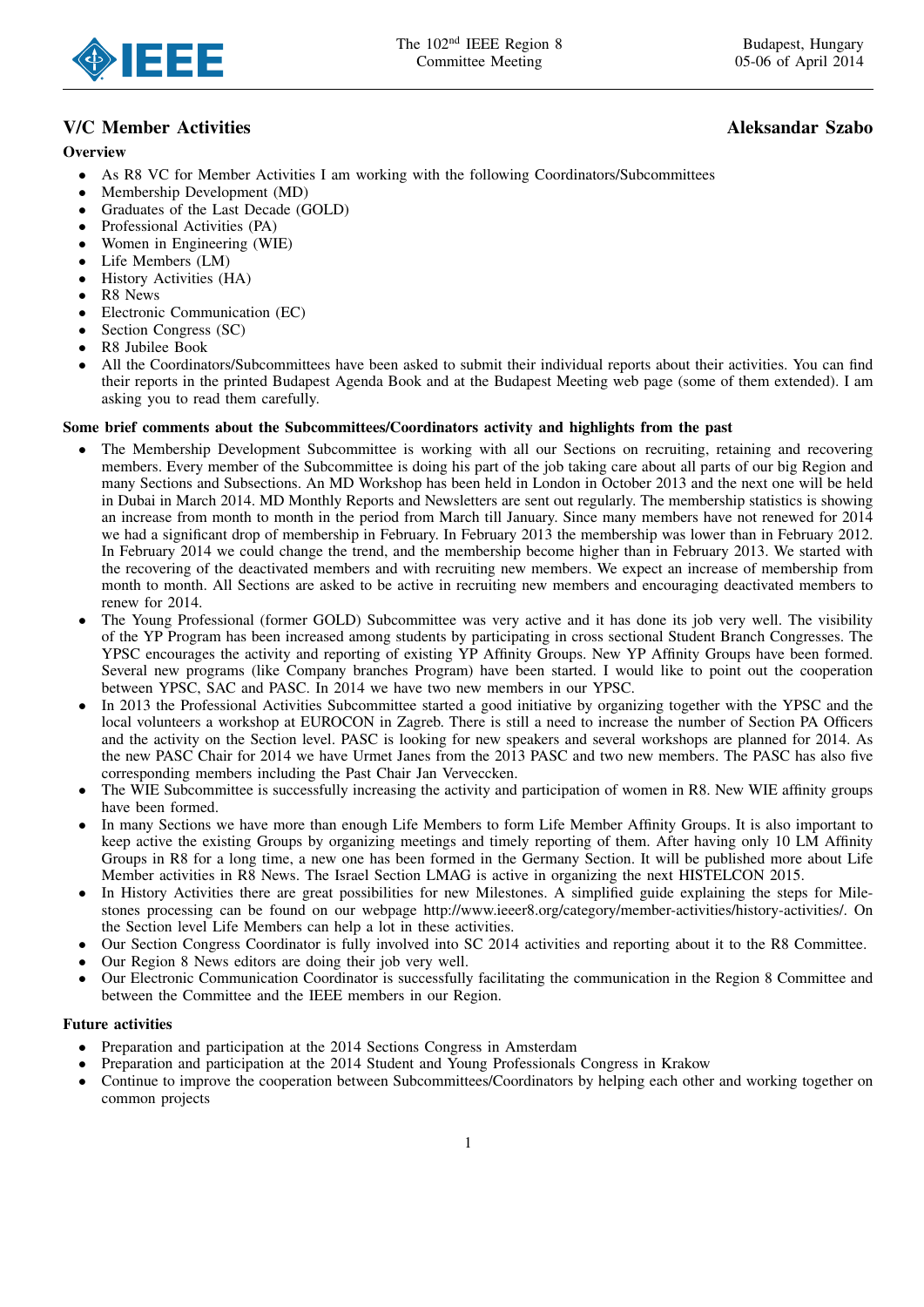

# V/C Member Activities and the state of the state of the state of the state of the state of the state of the state of the state of the state of the state of the state of the state of the state of the state of the state of t

## **Overview**

- As R8 VC for Member Activities I am working with the following Coordinators/Subcommittees
- Membership Development (MD)
- Graduates of the Last Decade (GOLD)
- Professional Activities (PA)
- Women in Engineering (WIE)
- Life Members (LM)
- History Activities (HA)
- R8 News
- Electronic Communication (EC)
- Section Congress (SC)
- R8 Jubilee Book
- All the Coordinators/Subcommittees have been asked to submit their individual reports about their activities. You can find their reports in the printed Budapest Agenda Book and at the Budapest Meeting web page (some of them extended). I am asking you to read them carefully.

### Some brief comments about the Subcommittees/Coordinators activity and highlights from the past

- The Membership Development Subcommittee is working with all our Sections on recruiting, retaining and recovering members. Every member of the Subcommittee is doing his part of the job taking care about all parts of our big Region and many Sections and Subsections. An MD Workshop has been held in London in October 2013 and the next one will be held in Dubai in March 2014. MD Monthly Reports and Newsletters are sent out regularly. The membership statistics is showing an increase from month to month in the period from March till January. Since many members have not renewed for 2014 we had a significant drop of membership in February. In February 2013 the membership was lower than in February 2012. In February 2014 we could change the trend, and the membership become higher than in February 2013. We started with the recovering of the deactivated members and with recruiting new members. We expect an increase of membership from month to month. All Sections are asked to be active in recruiting new members and encouraging deactivated members to renew for 2014.
- The Young Professional (former GOLD) Subcommittee was very active and it has done its job very well. The visibility of the YP Program has been increased among students by participating in cross sectional Student Branch Congresses. The YPSC encourages the activity and reporting of existing YP Affinity Groups. New YP Affinity Groups have been formed. Several new programs (like Company branches Program) have been started. I would like to point out the cooperation between YPSC, SAC and PASC. In 2014 we have two new members in our YPSC.
- In 2013 the Professional Activities Subcommittee started a good initiative by organizing together with the YPSC and the local volunteers a workshop at EUROCON in Zagreb. There is still a need to increase the number of Section PA Officers and the activity on the Section level. PASC is looking for new speakers and several workshops are planned for 2014. As the new PASC Chair for 2014 we have Urmet Janes from the 2013 PASC and two new members. The PASC has also five corresponding members including the Past Chair Jan Verveccken.
- The WIE Subcommittee is successfully increasing the activity and participation of women in R8. New WIE affinity groups have been formed.
- In many Sections we have more than enough Life Members to form Life Member Affinity Groups. It is also important to keep active the existing Groups by organizing meetings and timely reporting of them. After having only 10 LM Affinity Groups in R8 for a long time, a new one has been formed in the Germany Section. It will be published more about Life Member activities in R8 News. The Israel Section LMAG is active in organizing the next HISTELCON 2015.
- In History Activities there are great possibilities for new Milestones. A simplified guide explaining the steps for Milestones processing can be found on our webpage http://www.ieeer8.org/category/member-activities/history-activities/. On the Section level Life Members can help a lot in these activities.
- Our Section Congress Coordinator is fully involved into SC 2014 activities and reporting about it to the R8 Committee.
- Our Region 8 News editors are doing their job very well.
- Our Electronic Communication Coordinator is successfully facilitating the communication in the Region 8 Committee and between the Committee and the IEEE members in our Region.

### Future activities

- Preparation and participation at the 2014 Sections Congress in Amsterdam
- Preparation and participation at the 2014 Student and Young Professionals Congress in Krakow
- Continue to improve the cooperation between Subcommittees/Coordinators by helping each other and working together on common projects